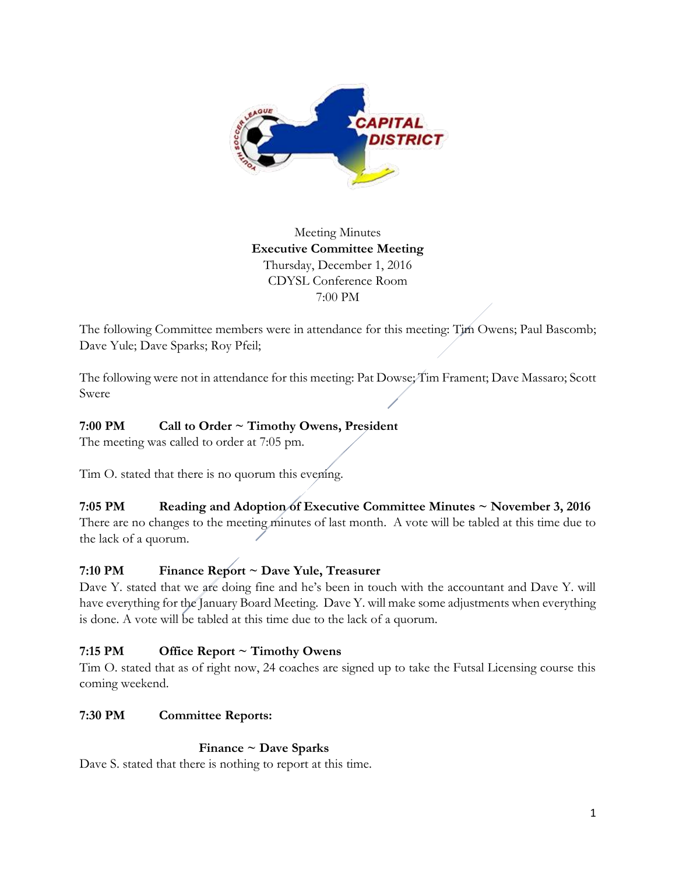

# Meeting Minutes **Executive Committee Meeting**  Thursday, December 1, 2016 CDYSL Conference Room 7:00 PM

The following Committee members were in attendance for this meeting: Tim Owens; Paul Bascomb; Dave Yule; Dave Sparks; Roy Pfeil;

The following were not in attendance for this meeting: Pat Dowse; Tim Frament; Dave Massaro; Scott Swere

## **7:00 PM Call to Order ~ Timothy Owens, President**

The meeting was called to order at 7:05 pm.

Tim O. stated that there is no quorum this evening.

## **7:05 PM Reading and Adoption of Executive Committee Minutes ~ November 3, 2016**

There are no changes to the meeting minutes of last month. A vote will be tabled at this time due to the lack of a quorum.

## **7:10 PM Finance Report ~ Dave Yule, Treasurer**

Dave Y. stated that we are doing fine and he's been in touch with the accountant and Dave Y. will have everything for the January Board Meeting. Dave Y. will make some adjustments when everything is done. A vote will be tabled at this time due to the lack of a quorum.

## **7:15 PM Office Report ~ Timothy Owens**

Tim O. stated that as of right now, 24 coaches are signed up to take the Futsal Licensing course this coming weekend.

## **7:30 PM Committee Reports:**

## **Finance ~ Dave Sparks**

Dave S. stated that there is nothing to report at this time.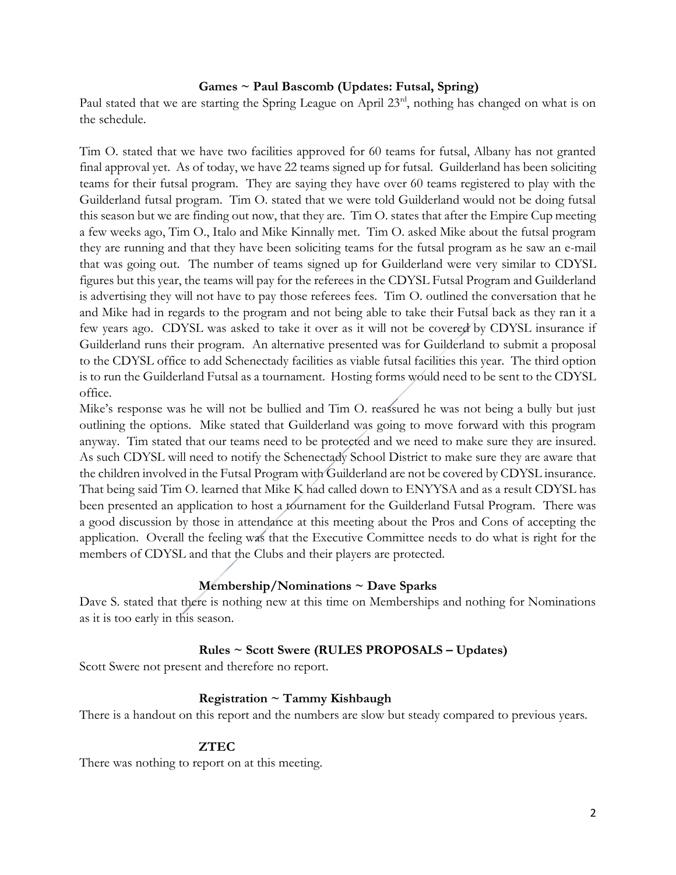#### **Games ~ Paul Bascomb (Updates: Futsal, Spring)**

Paul stated that we are starting the Spring League on April 23<sup>rd</sup>, nothing has changed on what is on the schedule.

Tim O. stated that we have two facilities approved for 60 teams for futsal, Albany has not granted final approval yet. As of today, we have 22 teams signed up for futsal. Guilderland has been soliciting teams for their futsal program. They are saying they have over 60 teams registered to play with the Guilderland futsal program. Tim O. stated that we were told Guilderland would not be doing futsal this season but we are finding out now, that they are. Tim O. states that after the Empire Cup meeting a few weeks ago, Tim O., Italo and Mike Kinnally met. Tim O. asked Mike about the futsal program they are running and that they have been soliciting teams for the futsal program as he saw an e-mail that was going out. The number of teams signed up for Guilderland were very similar to CDYSL figures but this year, the teams will pay for the referees in the CDYSL Futsal Program and Guilderland is advertising they will not have to pay those referees fees. Tim O. outlined the conversation that he and Mike had in regards to the program and not being able to take their Futsal back as they ran it a few years ago. CDYSL was asked to take it over as it will not be covered by CDYSL insurance if Guilderland runs their program. An alternative presented was for Guilderland to submit a proposal to the CDYSL office to add Schenectady facilities as viable futsal facilities this year. The third option is to run the Guilderland Futsal as a tournament. Hosting forms would need to be sent to the CDYSL office.

Mike's response was he will not be bullied and Tim O. reassured he was not being a bully but just outlining the options. Mike stated that Guilderland was going to move forward with this program anyway. Tim stated that our teams need to be protected and we need to make sure they are insured. As such CDYSL will need to notify the Schenectady School District to make sure they are aware that the children involved in the Futsal Program with Guilderland are not be covered by CDYSL insurance. That being said Tim O. learned that Mike K had called down to ENYYSA and as a result CDYSL has been presented an application to host a tournament for the Guilderland Futsal Program. There was a good discussion by those in attendance at this meeting about the Pros and Cons of accepting the application. Overall the feeling was that the Executive Committee needs to do what is right for the members of CDYSL and that the Clubs and their players are protected.

#### **Membership/Nominations ~ Dave Sparks**

Dave S. stated that there is nothing new at this time on Memberships and nothing for Nominations as it is too early in this season.

#### **Rules ~ Scott Swere (RULES PROPOSALS – Updates)**

Scott Swere not present and therefore no report.

#### **Registration ~ Tammy Kishbaugh**

There is a handout on this report and the numbers are slow but steady compared to previous years.

#### **ZTEC**

There was nothing to report on at this meeting.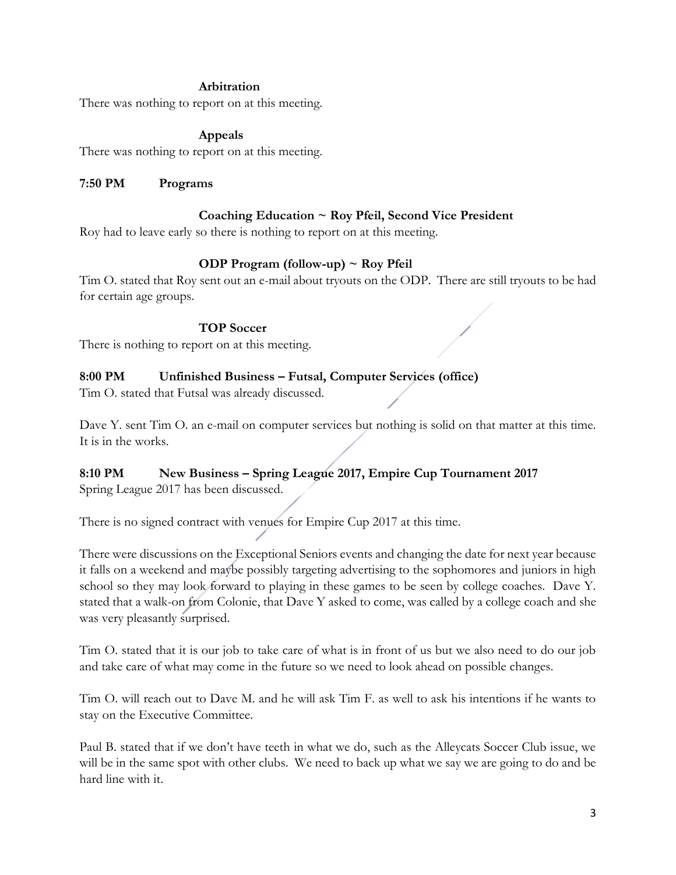#### **Arbitration**

There was nothing to report on at this meeting.

### **Appeals**

There was nothing to report on at this meeting.

### **7:50 PM Programs**

### **Coaching Education ~ Roy Pfeil, Second Vice President**

Roy had to leave early so there is nothing to report on at this meeting.

### **ODP Program (follow-up) ~ Roy Pfeil**

Tim O. stated that Roy sent out an e-mail about tryouts on the ODP. There are still tryouts to be had for certain age groups.

### **TOP Soccer**

There is nothing to report on at this meeting.

### **8:00 PM Unfinished Business – Futsal, Computer Services (office)**

Tim O. stated that Futsal was already discussed.

Dave Y. sent Tim O. an e-mail on computer services but nothing is solid on that matter at this time. It is in the works.

## **8:10 PM New Business – Spring League 2017, Empire Cup Tournament 2017**

Spring League 2017 has been discussed.

There is no signed contract with venues for Empire Cup 2017 at this time.

There were discussions on the Exceptional Seniors events and changing the date for next year because it falls on a weekend and maybe possibly targeting advertising to the sophomores and juniors in high school so they may look forward to playing in these games to be seen by college coaches. Dave Y. stated that a walk-on from Colonie, that Dave Y asked to come, was called by a college coach and she was very pleasantly surprised.

Tim O. stated that it is our job to take care of what is in front of us but we also need to do our job and take care of what may come in the future so we need to look ahead on possible changes.

Tim O. will reach out to Dave M. and he will ask Tim F. as well to ask his intentions if he wants to stay on the Executive Committee.

Paul B. stated that if we don't have teeth in what we do, such as the Alleycats Soccer Club issue, we will be in the same spot with other clubs. We need to back up what we say we are going to do and be hard line with it.